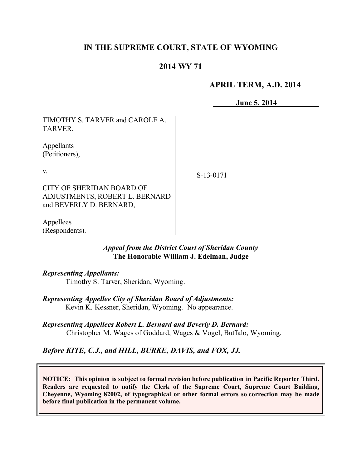## **IN THE SUPREME COURT, STATE OF WYOMING**

### **2014 WY 71**

### **APRIL TERM, A.D. 2014**

**June 5, 2014**

TIMOTHY S. TARVER and CAROLE A. TARVER,

Appellants (Petitioners),

v.

S-13-0171

CITY OF SHERIDAN BOARD OF ADJUSTMENTS, ROBERT L. BERNARD and BEVERLY D. BERNARD,

Appellees (Respondents).

### *Appeal from the District Court of Sheridan County* **The Honorable William J. Edelman, Judge**

#### *Representing Appellants:*

Timothy S. Tarver, Sheridan, Wyoming.

*Representing Appellee City of Sheridan Board of Adjustments:* Kevin K. Kessner, Sheridan, Wyoming. No appearance.

*Representing Appellees Robert L. Bernard and Beverly D. Bernard:* Christopher M. Wages of Goddard, Wages & Vogel, Buffalo, Wyoming.

*Before KITE, C.J., and HILL, BURKE, DAVIS, and FOX, JJ.*

**NOTICE: This opinion is subject to formal revision before publication in Pacific Reporter Third. Readers are requested to notify the Clerk of the Supreme Court, Supreme Court Building, Cheyenne, Wyoming 82002, of typographical or other formal errors so correction may be made before final publication in the permanent volume.**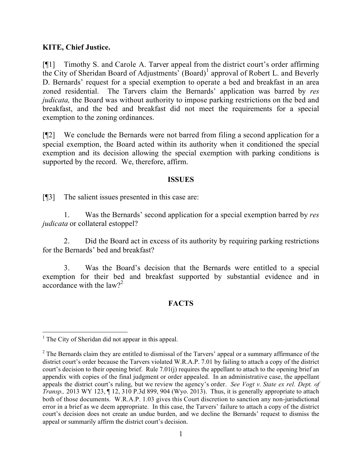### **KITE, Chief Justice.**

[¶1] Timothy S. and Carole A. Tarver appeal from the district court's order affirming the City of Sheridan Board of Adjustments'  $(Board)^{1}$  approval of Robert L. and Beverly D. Bernards' request for a special exemption to operate a bed and breakfast in an area zoned residential. The Tarvers claim the Bernards' application was barred by *res judicata*, the Board was without authority to impose parking restrictions on the bed and breakfast, and the bed and breakfast did not meet the requirements for a special exemption to the zoning ordinances.

[¶2] We conclude the Bernards were not barred from filing a second application for a special exemption, the Board acted within its authority when it conditioned the special exemption and its decision allowing the special exemption with parking conditions is supported by the record. We, therefore, affirm.

#### **ISSUES**

[¶3] The salient issues presented in this case are:

1. Was the Bernards' second application for a special exemption barred by *res judicata* or collateral estoppel?

2. Did the Board act in excess of its authority by requiring parking restrictions for the Bernards' bed and breakfast?

3. Was the Board's decision that the Bernards were entitled to a special exemption for their bed and breakfast supported by substantial evidence and in accordance with the  $law?$ <sup>2</sup>

### **FACTS**

 $\overline{a}$ 

 $<sup>1</sup>$  The City of Sheridan did not appear in this appeal.</sup>

 $2$  The Bernards claim they are entitled to dismissal of the Tarvers' appeal or a summary affirmance of the district court's order because the Tarvers violated W.R.A.P. 7.01 by failing to attach a copy of the district court's decision to their opening brief. Rule 7.01(j) requires the appellant to attach to the opening brief an appendix with copies of the final judgment or order appealed. In an administrative case, the appellant appeals the district court's ruling, but we review the agency's order. *See Vogt v. State ex rel. Dept. of Transp.,* 2013 WY 123, ¶ 12, 310 P.3d 899, 904 (Wyo. 2013). Thus, it is generally appropriate to attach both of those documents. W.R.A.P. 1.03 gives this Court discretion to sanction any non-jurisdictional error in a brief as we deem appropriate. In this case, the Tarvers' failure to attach a copy of the district court's decision does not create an undue burden, and we decline the Bernards' request to dismiss the appeal or summarily affirm the district court's decision.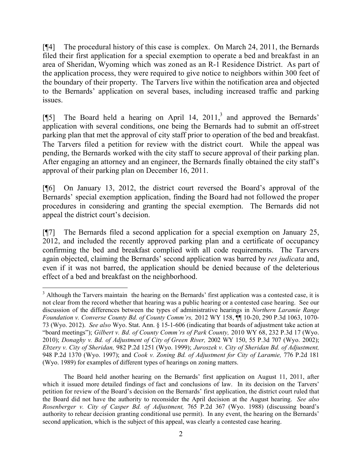[¶4] The procedural history of this case is complex. On March 24, 2011, the Bernards filed their first application for a special exemption to operate a bed and breakfast in an area of Sheridan, Wyoming which was zoned as an R-1 Residence District. As part of the application process, they were required to give notice to neighbors within 300 feet of the boundary of their property. The Tarvers live within the notification area and objected to the Bernards' application on several bases, including increased traffic and parking issues.

[ $[$ [5] The Board held a hearing on April 14, 2011,<sup>3</sup> and approved the Bernards' application with several conditions, one being the Bernards had to submit an off-street parking plan that met the approval of city staff prior to operation of the bed and breakfast. The Tarvers filed a petition for review with the district court. While the appeal was pending, the Bernards worked with the city staff to secure approval of their parking plan. After engaging an attorney and an engineer, the Bernards finally obtained the city staff's approval of their parking plan on December 16, 2011.

[¶6] On January 13, 2012, the district court reversed the Board's approval of the Bernards' special exemption application, finding the Board had not followed the proper procedures in considering and granting the special exemption. The Bernards did not appeal the district court's decision.

[¶7] The Bernards filed a second application for a special exemption on January 25, 2012, and included the recently approved parking plan and a certificate of occupancy confirming the bed and breakfast complied with all code requirements. The Tarvers again objected, claiming the Bernards' second application was barred by *res judicata* and, even if it was not barred, the application should be denied because of the deleterious effect of a bed and breakfast on the neighborhood.

<sup>&</sup>lt;sup>3</sup> Although the Tarvers maintain the hearing on the Bernards' first application was a contested case, it is not clear from the record whether that hearing was a public hearing or a contested case hearing. See our discussion of the differences between the types of administrative hearings in *Northern Laramie Range Foundation v. Converse County Bd. of County Comm'rs,* 2012 WY 158, ¶¶ 10-20, 290 P.3d 1063, 1070- 73 (Wyo. 2012). *See also* Wyo. Stat. Ann. § 15-1-606 (indicating that boards of adjustment take action at "board meetings"); *Gilbert v. Bd. of County Comm'rs of Park County,* 2010 WY 68, 232 P.3d 17 (Wyo. 2010); *Donaghy v. Bd. of Adjustment of City of Green River,* 2002 WY 150, 55 P.3d 707 (Wyo. 2002); *Ebzery v. City of Sheridan,* 982 P.2d 1251 (Wyo. 1999); *Juroszek v. City of Sheridan Bd. of Adjustment,*  948 P.2d 1370 (Wyo. 1997); and *Cook v. Zoning Bd. of Adjustment for City of Laramie,* 776 P.2d 181 (Wyo. 1989) for examples of different types of hearings on zoning matters.

The Board held another hearing on the Bernards' first application on August 11, 2011, after which it issued more detailed findings of fact and conclusions of law. In its decision on the Tarvers' petition for review of the Board's decision on the Bernards' first application, the district court ruled that the Board did not have the authority to reconsider the April decision at the August hearing. *See also Rosenberger v. City of Casper Bd. of Adjustment,* 765 P.2d 367 (Wyo. 1988) (discussing board's authority to rehear decision granting conditional use permit). In any event, the hearing on the Bernards' second application, which is the subject of this appeal, was clearly a contested case hearing.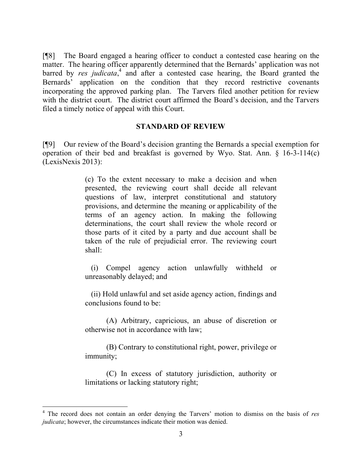[¶8] The Board engaged a hearing officer to conduct a contested case hearing on the matter. The hearing officer apparently determined that the Bernards' application was not barred by *res judicata*,<sup>4</sup> and after a contested case hearing, the Board granted the Bernards' application on the condition that they record restrictive covenants incorporating the approved parking plan. The Tarvers filed another petition for review with the district court. The district court affirmed the Board's decision, and the Tarvers filed a timely notice of appeal with this Court.

#### **STANDARD OF REVIEW**

[¶9] Our review of the Board's decision granting the Bernards a special exemption for operation of their bed and breakfast is governed by Wyo. Stat. Ann. § 16-3-114(c) (LexisNexis 2013):

> (c) To the extent necessary to make a decision and when presented, the reviewing court shall decide all relevant questions of law, interpret constitutional and statutory provisions, and determine the meaning or applicability of the terms of an agency action. In making the following determinations, the court shall review the whole record or those parts of it cited by a party and due account shall be taken of the rule of prejudicial error. The reviewing court shall:

> (i) Compel agency action unlawfully withheld or unreasonably delayed; and

> (ii) Hold unlawful and set aside agency action, findings and conclusions found to be:

> (A) Arbitrary, capricious, an abuse of discretion or otherwise not in accordance with law;

> (B) Contrary to constitutional right, power, privilege or immunity;

> (C) In excess of statutory jurisdiction, authority or limitations or lacking statutory right;

<sup>4</sup> The record does not contain an order denying the Tarvers' motion to dismiss on the basis of *res judicata*; however, the circumstances indicate their motion was denied.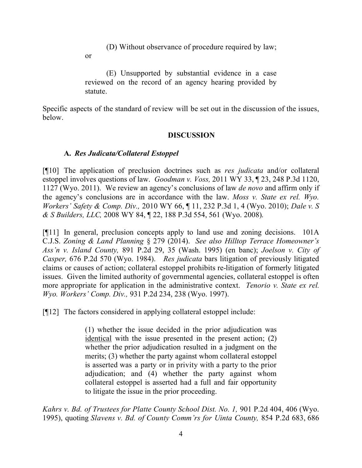(D) Without observance of procedure required by law;

or

(E) Unsupported by substantial evidence in a case reviewed on the record of an agency hearing provided by statute.

Specific aspects of the standard of review will be set out in the discussion of the issues, below.

## **DISCUSSION**

## **A.** *Res Judicata/Collateral Estoppel*

[¶10] The application of preclusion doctrines such as *res judicata* and/or collateral estoppel involves questions of law. *Goodman v. Voss,* 2011 WY 33, ¶ 23, 248 P.3d 1120, 1127 (Wyo. 2011). We review an agency's conclusions of law *de novo* and affirm only if the agency's conclusions are in accordance with the law. *Moss v. State ex rel. Wyo. Workers' Safety & Comp. Div.,* 2010 WY 66, ¶ 11, 232 P.3d 1, 4 (Wyo. 2010); *Dale v. S & S Builders, LLC,* 2008 WY 84, ¶ 22, 188 P.3d 554, 561 (Wyo. 2008).

[¶11] In general, preclusion concepts apply to land use and zoning decisions. 101A C.J.S. *Zoning & Land Planning* § 279 (2014). *See also Hilltop Terrace Homeowner's Ass'n v. Island County,* 891 P.2d 29, 35 (Wash. 1995) (en banc); *Joelson v. City of Casper,* 676 P.2d 570 (Wyo. 1984). *Res judicata* bars litigation of previously litigated claims or causes of action; collateral estoppel prohibits re-litigation of formerly litigated issues. Given the limited authority of governmental agencies, collateral estoppel is often more appropriate for application in the administrative context. *Tenorio v. State ex rel. Wyo. Workers' Comp. Div.,* 931 P.2d 234, 238 (Wyo. 1997).

[¶12] The factors considered in applying collateral estoppel include:

(1) whether the issue decided in the prior adjudication was identical with the issue presented in the present action; (2) whether the prior adjudication resulted in a judgment on the merits; (3) whether the party against whom collateral estoppel is asserted was a party or in privity with a party to the prior adjudication; and (4) whether the party against whom collateral estoppel is asserted had a full and fair opportunity to litigate the issue in the prior proceeding.

*Kahrs v. Bd. of Trustees for Platte County School Dist. No. 1,* 901 P.2d 404, 406 (Wyo. 1995), quoting *Slavens v. Bd. of County Comm'rs for Uinta County,* 854 P.2d 683, 686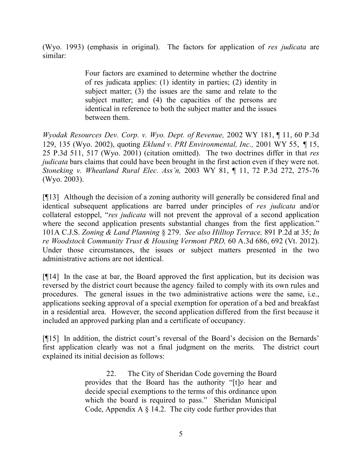(Wyo. 1993) (emphasis in original). The factors for application of *res judicata* are similar:

> Four factors are examined to determine whether the doctrine of res judicata applies: (1) identity in parties; (2) identity in subject matter; (3) the issues are the same and relate to the subject matter; and (4) the capacities of the persons are identical in reference to both the subject matter and the issues between them.

*Wyodak Resources Dev. Corp. v. Wyo. Dept. of Revenue,* 2002 WY 181, ¶ 11, 60 P.3d 129, 135 (Wyo. 2002), quoting *Eklund v. PRI Environmental, Inc.,* 2001 WY 55, ¶ 15, 25 P.3d 511, 517 (Wyo. 2001) (citation omitted). The two doctrines differ in that *res judicata* bars claims that could have been brought in the first action even if they were not. *Stoneking v. Wheatland Rural Elec. Ass'n,* 2003 WY 81, ¶ 11, 72 P.3d 272, 275-76 (Wyo. 2003).

[¶13] Although the decision of a zoning authority will generally be considered final and identical subsequent applications are barred under principles of *res judicata* and/or collateral estoppel, "*res judicata* will not prevent the approval of a second application where the second application presents substantial changes from the first application." 101A C.J.S. *Zoning & Land Planning* § 279. *See also Hilltop Terrace,* 891 P.2d at 35; *In re Woodstock Community Trust & Housing Vermont PRD,* 60 A.3d 686, 692 (Vt. 2012). Under those circumstances, the issues or subject matters presented in the two administrative actions are not identical.

[¶14] In the case at bar, the Board approved the first application, but its decision was reversed by the district court because the agency failed to comply with its own rules and procedures. The general issues in the two administrative actions were the same, i.e., applications seeking approval of a special exemption for operation of a bed and breakfast in a residential area. However, the second application differed from the first because it included an approved parking plan and a certificate of occupancy.

[¶15] In addition, the district court's reversal of the Board's decision on the Bernards' first application clearly was not a final judgment on the merits. The district court explained its initial decision as follows:

> 22. The City of Sheridan Code governing the Board provides that the Board has the authority "[t]o hear and decide special exemptions to the terms of this ordinance upon which the board is required to pass." Sheridan Municipal Code, Appendix A § 14.2. The city code further provides that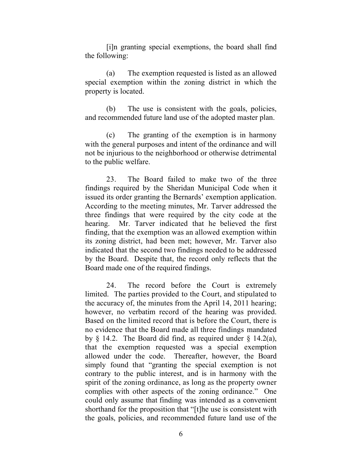[i]n granting special exemptions, the board shall find the following:

(a) The exemption requested is listed as an allowed special exemption within the zoning district in which the property is located.

(b) The use is consistent with the goals, policies, and recommended future land use of the adopted master plan.

(c) The granting of the exemption is in harmony with the general purposes and intent of the ordinance and will not be injurious to the neighborhood or otherwise detrimental to the public welfare.

23. The Board failed to make two of the three findings required by the Sheridan Municipal Code when it issued its order granting the Bernards' exemption application. According to the meeting minutes, Mr. Tarver addressed the three findings that were required by the city code at the hearing. Mr. Tarver indicated that he believed the first finding, that the exemption was an allowed exemption within its zoning district, had been met; however, Mr. Tarver also indicated that the second two findings needed to be addressed by the Board. Despite that, the record only reflects that the Board made one of the required findings.

24. The record before the Court is extremely limited. The parties provided to the Court, and stipulated to the accuracy of, the minutes from the April 14, 2011 hearing; however, no verbatim record of the hearing was provided. Based on the limited record that is before the Court, there is no evidence that the Board made all three findings mandated by  $\S$  14.2. The Board did find, as required under  $\S$  14.2(a), that the exemption requested was a special exemption allowed under the code. Thereafter, however, the Board simply found that "granting the special exemption is not contrary to the public interest, and is in harmony with the spirit of the zoning ordinance, as long as the property owner complies with other aspects of the zoning ordinance." One could only assume that finding was intended as a convenient shorthand for the proposition that "[t]he use is consistent with the goals, policies, and recommended future land use of the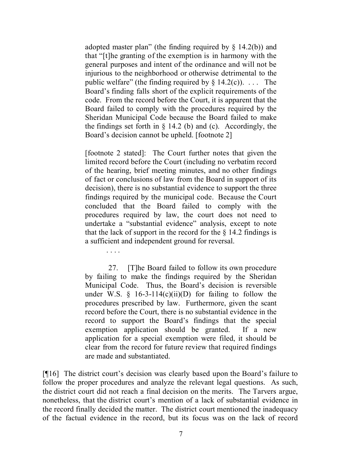adopted master plan" (the finding required by  $\S$  14.2(b)) and that "[t]he granting of the exemption is in harmony with the general purposes and intent of the ordinance and will not be injurious to the neighborhood or otherwise detrimental to the public welfare" (the finding required by  $\S$  14.2(c)). ... The Board's finding falls short of the explicit requirements of the code. From the record before the Court, it is apparent that the Board failed to comply with the procedures required by the Sheridan Municipal Code because the Board failed to make the findings set forth in  $\S$  14.2 (b) and (c). Accordingly, the Board's decision cannot be upheld. [footnote 2]

[footnote 2 stated]: The Court further notes that given the limited record before the Court (including no verbatim record of the hearing, brief meeting minutes, and no other findings of fact or conclusions of law from the Board in support of its decision), there is no substantial evidence to support the three findings required by the municipal code. Because the Court concluded that the Board failed to comply with the procedures required by law, the court does not need to undertake a "substantial evidence" analysis, except to note that the lack of support in the record for the  $\S$  14.2 findings is a sufficient and independent ground for reversal.

. . . .

27. [T]he Board failed to follow its own procedure by failing to make the findings required by the Sheridan Municipal Code. Thus, the Board's decision is reversible under W.S.  $\S$  16-3-114(c)(ii)(D) for failing to follow the procedures prescribed by law. Furthermore, given the scant record before the Court, there is no substantial evidence in the record to support the Board's findings that the special exemption application should be granted. If a new application for a special exemption were filed, it should be clear from the record for future review that required findings are made and substantiated.

[¶16] The district court's decision was clearly based upon the Board's failure to follow the proper procedures and analyze the relevant legal questions. As such, the district court did not reach a final decision on the merits. The Tarvers argue, nonetheless, that the district court's mention of a lack of substantial evidence in the record finally decided the matter. The district court mentioned the inadequacy of the factual evidence in the record, but its focus was on the lack of record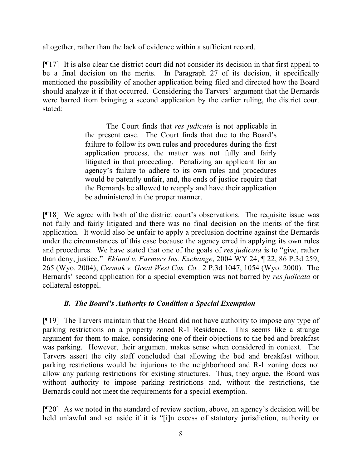altogether, rather than the lack of evidence within a sufficient record.

[¶17] It is also clear the district court did not consider its decision in that first appeal to be a final decision on the merits. In Paragraph 27 of its decision, it specifically mentioned the possibility of another application being filed and directed how the Board should analyze it if that occurred. Considering the Tarvers' argument that the Bernards were barred from bringing a second application by the earlier ruling, the district court stated:

> The Court finds that *res judicata* is not applicable in the present case. The Court finds that due to the Board's failure to follow its own rules and procedures during the first application process, the matter was not fully and fairly litigated in that proceeding. Penalizing an applicant for an agency's failure to adhere to its own rules and procedures would be patently unfair, and, the ends of justice require that the Bernards be allowed to reapply and have their application be administered in the proper manner.

[¶18] We agree with both of the district court's observations. The requisite issue was not fully and fairly litigated and there was no final decision on the merits of the first application. It would also be unfair to apply a preclusion doctrine against the Bernards under the circumstances of this case because the agency erred in applying its own rules and procedures. We have stated that one of the goals of *res judicata* is to "give, rather than deny, justice." *Eklund v. Farmers Ins. Exchange*, 2004 WY 24, ¶ 22, 86 P.3d 259, 265 (Wyo. 2004); *Cermak v. Great West Cas. Co.,* 2 P.3d 1047, 1054 (Wyo. 2000). The Bernards' second application for a special exemption was not barred by *res judicata* or collateral estoppel.

# *B. The Board's Authority to Condition a Special Exemption*

[¶19] The Tarvers maintain that the Board did not have authority to impose any type of parking restrictions on a property zoned R-1 Residence. This seems like a strange argument for them to make, considering one of their objections to the bed and breakfast was parking. However, their argument makes sense when considered in context. The Tarvers assert the city staff concluded that allowing the bed and breakfast without parking restrictions would be injurious to the neighborhood and R-1 zoning does not allow any parking restrictions for existing structures. Thus, they argue, the Board was without authority to impose parking restrictions and, without the restrictions, the Bernards could not meet the requirements for a special exemption.

[¶20] As we noted in the standard of review section, above, an agency's decision will be held unlawful and set aside if it is "[i]n excess of statutory jurisdiction, authority or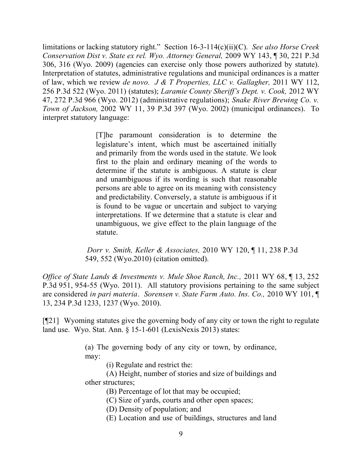limitations or lacking statutory right." Section 16-3-114(c)(ii)(C). *See also Horse Creek Conservation Dist v. State ex rel. Wyo. Attorney General,* 2009 WY 143, ¶ 30, 221 P.3d 306, 316 (Wyo. 2009) (agencies can exercise only those powers authorized by statute). Interpretation of statutes, administrative regulations and municipal ordinances is a matter of law, which we review *de novo. J & T Properties, LLC v. Gallagher,* 2011 WY 112, 256 P.3d 522 (Wyo. 2011) (statutes); *Laramie County Sheriff's Dept. v. Cook,* 2012 WY 47, 272 P.3d 966 (Wyo. 2012) (administrative regulations); *Snake River Brewing Co. v. Town of Jackson,* 2002 WY 11, 39 P.3d 397 (Wyo. 2002) (municipal ordinances). To interpret statutory language:

> [T]he paramount consideration is to determine the legislature's intent, which must be ascertained initially and primarily from the words used in the statute. We look first to the plain and ordinary meaning of the words to determine if the statute is ambiguous. A statute is clear and unambiguous if its wording is such that reasonable persons are able to agree on its meaning with consistency and predictability. Conversely, a statute is ambiguous if it is found to be vague or uncertain and subject to varying interpretations. If we determine that a statute is clear and unambiguous, we give effect to the plain language of the statute.

*Dorr v. Smith, Keller & Associates,* 2010 WY 120, ¶ 11, 238 P.3d 549, 552 (Wyo.2010) (citation omitted).

*Office of State Lands & Investments v. Mule Shoe Ranch, Inc., 2011 WY 68, 13, 252* P.3d 951, 954-55 (Wyo. 2011). All statutory provisions pertaining to the same subject are considered *in pari materia*. *Sorensen v. State Farm Auto. Ins. Co.,* 2010 WY 101, ¶ 13, 234 P.3d 1233, 1237 (Wyo. 2010).

[¶21] Wyoming statutes give the governing body of any city or town the right to regulate land use. Wyo. Stat. Ann. § 15-1-601 (LexisNexis 2013) states:

> (a) The governing body of any city or town, by ordinance, may:

> > (i) Regulate and restrict the:

(A) Height, number of stories and size of buildings and other structures;

(B) Percentage of lot that may be occupied;

(C) Size of yards, courts and other open spaces;

(D) Density of population; and

(E) Location and use of buildings, structures and land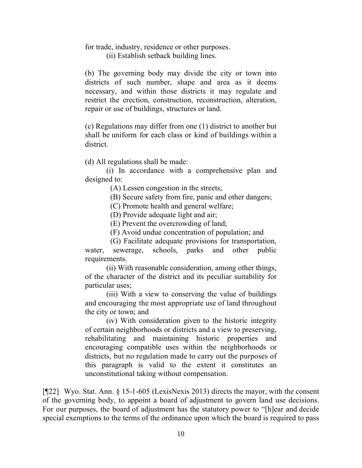### for trade, industry, residence or other purposes.

(ii) Establish setback building lines.

(b) The governing body may divide the city or town into districts of such number, shape and area as it deems necessary, and within those districts it may regulate and restrict the erection, construction, reconstruction, alteration, repair or use of buildings, structures or land.

(c) Regulations may differ from one (1) district to another but shall be uniform for each class or kind of buildings within a district.

(d) All regulations shall be made:

(i) In accordance with a comprehensive plan and designed to:

(A) Lessen congestion in the streets;

(B) Secure safety from fire, panic and other dangers;

(C) Promote health and general welfare;

(D) Provide adequate light and air;

(E) Prevent the overcrowding of land;

(F) Avoid undue concentration of population; and

 (G) Facilitate adequate provisions for transportation, water, sewerage, schools, parks and other public requirements.

(ii) With reasonable consideration, among other things, of the character of the district and its peculiar suitability for particular uses;

(iii) With a view to conserving the value of buildings and encouraging the most appropriate use of land throughout the city or town; and

(iv) With consideration given to the historic integrity of certain neighborhoods or districts and a view to preserving, rehabilitating and maintaining historic properties and encouraging compatible uses within the neighborhoods or districts, but no regulation made to carry out the purposes of this paragraph is valid to the extent it constitutes an unconstitutional taking without compensation.

[¶22] Wyo. Stat. Ann. § 15-1-605 (LexisNexis 2013) directs the mayor, with the consent of the governing body, to appoint a board of adjustment to govern land use decisions. For our purposes, the board of adjustment has the statutory power to "[h]ear and decide special exemptions to the terms of the ordinance upon which the board is required to pass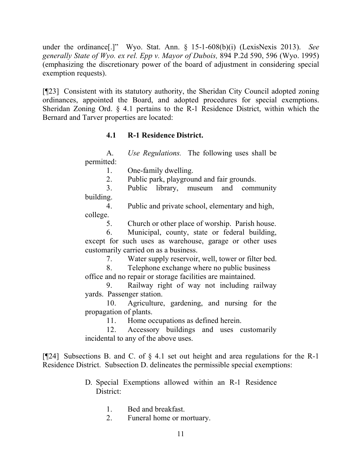under the ordinance[.]" Wyo. Stat. Ann. § 15-1-608(b)(i) (LexisNexis 2013). *See generally State of Wyo. ex rel. Epp v. Mayor of Dubois,* 894 P.2d 590, 596 (Wyo. 1995) (emphasizing the discretionary power of the board of adjustment in considering special exemption requests).

[¶23] Consistent with its statutory authority, the Sheridan City Council adopted zoning ordinances, appointed the Board, and adopted procedures for special exemptions. Sheridan Zoning Ord. § 4.1 pertains to the R-1 Residence District, within which the Bernard and Tarver properties are located:

# **4.1 R-1 Residence District.**

A. *Use Regulations.* The following uses shall be permitted:

1. One-family dwelling.

2. Public park, playground and fair grounds.

3. Public library, museum and community building.

4. Public and private school, elementary and high, college.

5. Church or other place of worship. Parish house.

6. Municipal, county, state or federal building, except for such uses as warehouse, garage or other uses customarily carried on as a business.

7. Water supply reservoir, well, tower or filter bed.

8. Telephone exchange where no public business

office and no repair or storage facilities are maintained.

9. Railway right of way not including railway yards. Passenger station.

10. Agriculture, gardening, and nursing for the propagation of plants.

11. Home occupations as defined herein.

12. Accessory buildings and uses customarily incidental to any of the above uses.

[¶24] Subsections B. and C. of § 4.1 set out height and area regulations for the R-1 Residence District. Subsection D. delineates the permissible special exemptions:

- D. Special Exemptions allowed within an R-1 Residence District:
	- 1. Bed and breakfast.
	- 2. Funeral home or mortuary.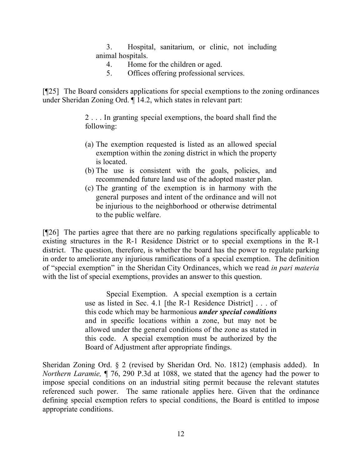3. Hospital, sanitarium, or clinic, not including animal hospitals.

- 4. Home for the children or aged.
- 5. Offices offering professional services.

[¶25] The Board considers applications for special exemptions to the zoning ordinances under Sheridan Zoning Ord. ¶ 14.2, which states in relevant part:

> 2 . . . In granting special exemptions, the board shall find the following:

- (a) The exemption requested is listed as an allowed special exemption within the zoning district in which the property is located.
- (b) The use is consistent with the goals, policies, and recommended future land use of the adopted master plan.
- (c) The granting of the exemption is in harmony with the general purposes and intent of the ordinance and will not be injurious to the neighborhood or otherwise detrimental to the public welfare.

[¶26] The parties agree that there are no parking regulations specifically applicable to existing structures in the R-1 Residence District or to special exemptions in the R-1 district. The question, therefore, is whether the board has the power to regulate parking in order to ameliorate any injurious ramifications of a special exemption. The definition of "special exemption" in the Sheridan City Ordinances, which we read *in pari materia*  with the list of special exemptions, provides an answer to this question.

> Special Exemption. A special exemption is a certain use as listed in Sec. 4.1 [the R-1 Residence District] . . . of this code which may be harmonious *under special conditions* and in specific locations within a zone, but may not be allowed under the general conditions of the zone as stated in this code. A special exemption must be authorized by the Board of Adjustment after appropriate findings.

Sheridan Zoning Ord. § 2 (revised by Sheridan Ord. No. 1812) (emphasis added). In *Northern Laramie,* ¶ 76, 290 P.3d at 1088, we stated that the agency had the power to impose special conditions on an industrial siting permit because the relevant statutes referenced such power. The same rationale applies here. Given that the ordinance defining special exemption refers to special conditions, the Board is entitled to impose appropriate conditions.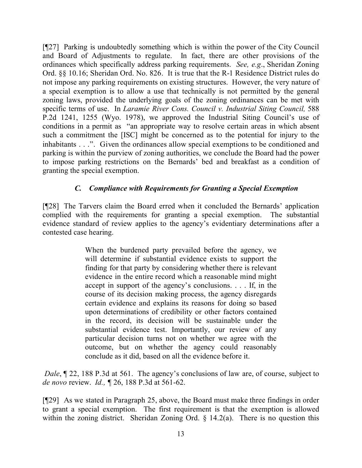[¶27] Parking is undoubtedly something which is within the power of the City Council and Board of Adjustments to regulate. In fact, there are other provisions of the ordinances which specifically address parking requirements. *See, e.g*., Sheridan Zoning Ord. §§ 10.16; Sheridan Ord. No. 826. It is true that the R-1 Residence District rules do not impose any parking requirements on existing structures. However, the very nature of a special exemption is to allow a use that technically is not permitted by the general zoning laws, provided the underlying goals of the zoning ordinances can be met with specific terms of use. In *Laramie River Cons. Council v. Industrial Siting Council,* 588 P.2d 1241, 1255 (Wyo. 1978), we approved the Industrial Siting Council's use of conditions in a permit as "an appropriate way to resolve certain areas in which absent such a commitment the [ISC] might be concerned as to the potential for injury to the inhabitants . . .". Given the ordinances allow special exemptions to be conditioned and parking is within the purview of zoning authorities, we conclude the Board had the power to impose parking restrictions on the Bernards' bed and breakfast as a condition of granting the special exemption.

# *C. Compliance with Requirements for Granting a Special Exemption*

[¶28] The Tarvers claim the Board erred when it concluded the Bernards' application complied with the requirements for granting a special exemption. The substantial evidence standard of review applies to the agency's evidentiary determinations after a contested case hearing.

> When the burdened party prevailed before the agency, we will determine if substantial evidence exists to support the finding for that party by considering whether there is relevant evidence in the entire record which a reasonable mind might accept in support of the agency's conclusions. . . . If, in the course of its decision making process, the agency disregards certain evidence and explains its reasons for doing so based upon determinations of credibility or other factors contained in the record, its decision will be sustainable under the substantial evidence test. Importantly, our review of any particular decision turns not on whether we agree with the outcome, but on whether the agency could reasonably conclude as it did, based on all the evidence before it.

*Dale*,  $\sqrt{22}$ , 188 P.3d at 561. The agency's conclusions of law are, of course, subject to *de novo* review. *Id., ¶* 26, 188 P.3d at 561-62.

[¶29] As we stated in Paragraph 25, above, the Board must make three findings in order to grant a special exemption. The first requirement is that the exemption is allowed within the zoning district. Sheridan Zoning Ord. § 14.2(a). There is no question this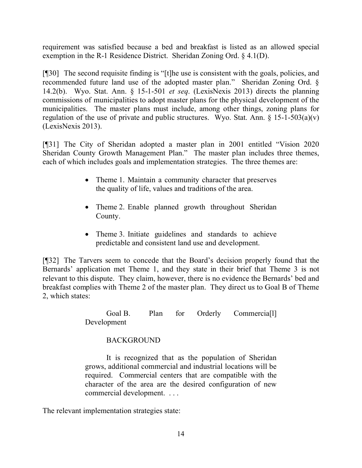requirement was satisfied because a bed and breakfast is listed as an allowed special exemption in the R-1 Residence District. Sheridan Zoning Ord. § 4.1(D).

[¶30] The second requisite finding is "[t]he use is consistent with the goals, policies, and recommended future land use of the adopted master plan." Sheridan Zoning Ord. § 14.2(b). Wyo. Stat. Ann. § 15-1-501 *et seq*. (LexisNexis 2013) directs the planning commissions of municipalities to adopt master plans for the physical development of the municipalities. The master plans must include, among other things, zoning plans for regulation of the use of private and public structures. Wyo. Stat. Ann.  $\S$  15-1-503(a)(v) (LexisNexis 2013).

[¶31] The City of Sheridan adopted a master plan in 2001 entitled "Vision 2020 Sheridan County Growth Management Plan." The master plan includes three themes, each of which includes goals and implementation strategies. The three themes are:

- Theme 1. Maintain a community character that preserves the quality of life, values and traditions of the area.
- Theme 2. Enable planned growth throughout Sheridan County.
- Theme 3. Initiate guidelines and standards to achieve predictable and consistent land use and development.

[¶32] The Tarvers seem to concede that the Board's decision properly found that the Bernards' application met Theme 1, and they state in their brief that Theme 3 is not relevant to this dispute. They claim, however, there is no evidence the Bernards' bed and breakfast complies with Theme 2 of the master plan. They direct us to Goal B of Theme 2, which states:

> Goal B. Plan for Orderly Commercia<sup>[1]</sup> Development

# BACKGROUND

It is recognized that as the population of Sheridan grows, additional commercial and industrial locations will be required. Commercial centers that are compatible with the character of the area are the desired configuration of new commercial development. . . .

The relevant implementation strategies state: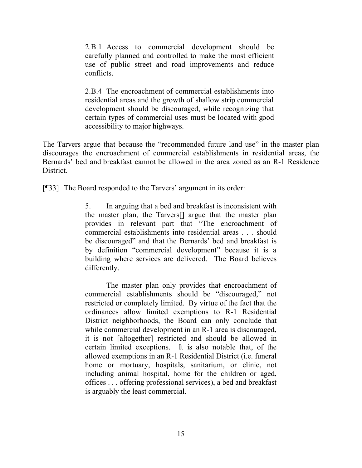2.B.1 Access to commercial development should be carefully planned and controlled to make the most efficient use of public street and road improvements and reduce conflicts.

2.B.4 The encroachment of commercial establishments into residential areas and the growth of shallow strip commercial development should be discouraged, while recognizing that certain types of commercial uses must be located with good accessibility to major highways.

The Tarvers argue that because the "recommended future land use" in the master plan discourages the encroachment of commercial establishments in residential areas, the Bernards' bed and breakfast cannot be allowed in the area zoned as an R-1 Residence **District** 

[¶33] The Board responded to the Tarvers' argument in its order:

5. In arguing that a bed and breakfast is inconsistent with the master plan, the Tarvers[] argue that the master plan provides in relevant part that "The encroachment of commercial establishments into residential areas . . . should be discouraged" and that the Bernards' bed and breakfast is by definition "commercial development" because it is a building where services are delivered. The Board believes differently.

The master plan only provides that encroachment of commercial establishments should be "discouraged," not restricted or completely limited. By virtue of the fact that the ordinances allow limited exemptions to R-1 Residential District neighborhoods, the Board can only conclude that while commercial development in an R-1 area is discouraged. it is not [altogether] restricted and should be allowed in certain limited exceptions. It is also notable that, of the allowed exemptions in an R-1 Residential District (i.e. funeral home or mortuary, hospitals, sanitarium, or clinic, not including animal hospital, home for the children or aged, offices . . . offering professional services), a bed and breakfast is arguably the least commercial.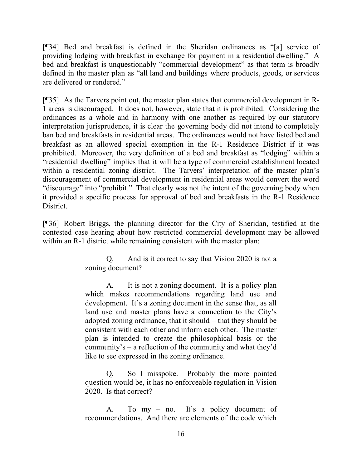[¶34] Bed and breakfast is defined in the Sheridan ordinances as "[a] service of providing lodging with breakfast in exchange for payment in a residential dwelling." A bed and breakfast is unquestionably "commercial development" as that term is broadly defined in the master plan as "all land and buildings where products, goods, or services are delivered or rendered."

[¶35] As the Tarvers point out, the master plan states that commercial development in R-1 areas is discouraged. It does not, however, state that it is prohibited. Considering the ordinances as a whole and in harmony with one another as required by our statutory interpretation jurisprudence, it is clear the governing body did not intend to completely ban bed and breakfasts in residential areas. The ordinances would not have listed bed and breakfast as an allowed special exemption in the R-1 Residence District if it was prohibited. Moreover, the very definition of a bed and breakfast as "lodging" within a "residential dwelling" implies that it will be a type of commercial establishment located within a residential zoning district. The Tarvers' interpretation of the master plan's discouragement of commercial development in residential areas would convert the word "discourage" into "prohibit." That clearly was not the intent of the governing body when it provided a specific process for approval of bed and breakfasts in the R-1 Residence **District** 

[¶36] Robert Briggs, the planning director for the City of Sheridan, testified at the contested case hearing about how restricted commercial development may be allowed within an R-1 district while remaining consistent with the master plan:

> Q. And is it correct to say that Vision 2020 is not a zoning document?

> A. It is not a zoning document. It is a policy plan which makes recommendations regarding land use and development. It's a zoning document in the sense that, as all land use and master plans have a connection to the City's adopted zoning ordinance, that it should – that they should be consistent with each other and inform each other. The master plan is intended to create the philosophical basis or the community's – a reflection of the community and what they'd like to see expressed in the zoning ordinance.

> Q. So I misspoke. Probably the more pointed question would be, it has no enforceable regulation in Vision 2020. Is that correct?

> A. To my – no. It's a policy document of recommendations. And there are elements of the code which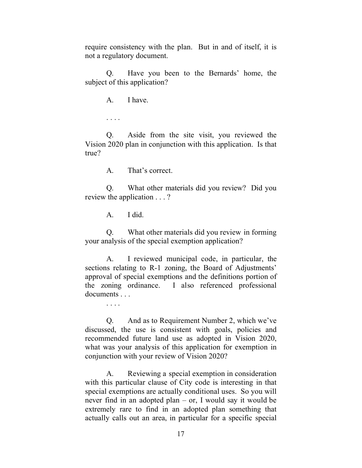require consistency with the plan. But in and of itself, it is not a regulatory document.

Q. Have you been to the Bernards' home, the subject of this application?

A. I have.

. . . .

Q. Aside from the site visit, you reviewed the Vision 2020 plan in conjunction with this application. Is that true?

A. That's correct.

Q. What other materials did you review? Did you review the application . . . ?

A. I did.

Q. What other materials did you review in forming your analysis of the special exemption application?

A. I reviewed municipal code, in particular, the sections relating to R-1 zoning, the Board of Adjustments' approval of special exemptions and the definitions portion of the zoning ordinance. I also referenced professional documents . . .

. . . .

Q. And as to Requirement Number 2, which we've discussed, the use is consistent with goals, policies and recommended future land use as adopted in Vision 2020, what was your analysis of this application for exemption in conjunction with your review of Vision 2020?

 A. Reviewing a special exemption in consideration with this particular clause of City code is interesting in that special exemptions are actually conditional uses. So you will never find in an adopted plan – or, I would say it would be extremely rare to find in an adopted plan something that actually calls out an area, in particular for a specific special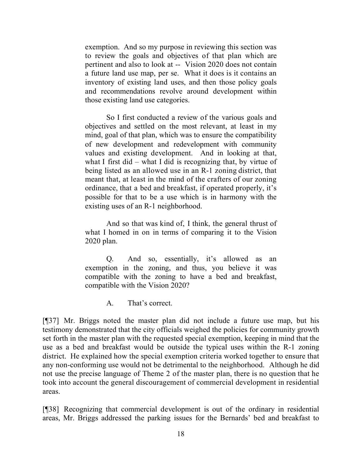exemption. And so my purpose in reviewing this section was to review the goals and objectives of that plan which are pertinent and also to look at -- Vision 2020 does not contain a future land use map, per se. What it does is it contains an inventory of existing land uses, and then those policy goals and recommendations revolve around development within those existing land use categories.

So I first conducted a review of the various goals and objectives and settled on the most relevant, at least in my mind, goal of that plan, which was to ensure the compatibility of new development and redevelopment with community values and existing development. And in looking at that, what I first did – what I did is recognizing that, by virtue of being listed as an allowed use in an R-1 zoning district, that meant that, at least in the mind of the crafters of our zoning ordinance, that a bed and breakfast, if operated properly, it's possible for that to be a use which is in harmony with the existing uses of an R-1 neighborhood.

And so that was kind of, I think, the general thrust of what I homed in on in terms of comparing it to the Vision 2020 plan.

Q. And so, essentially, it's allowed as an exemption in the zoning, and thus, you believe it was compatible with the zoning to have a bed and breakfast, compatible with the Vision 2020?

A. That's correct.

[¶37] Mr. Briggs noted the master plan did not include a future use map, but his testimony demonstrated that the city officials weighed the policies for community growth set forth in the master plan with the requested special exemption, keeping in mind that the use as a bed and breakfast would be outside the typical uses within the R-1 zoning district. He explained how the special exemption criteria worked together to ensure that any non-conforming use would not be detrimental to the neighborhood. Although he did not use the precise language of Theme 2 of the master plan, there is no question that he took into account the general discouragement of commercial development in residential areas.

[¶38] Recognizing that commercial development is out of the ordinary in residential areas, Mr. Briggs addressed the parking issues for the Bernards' bed and breakfast to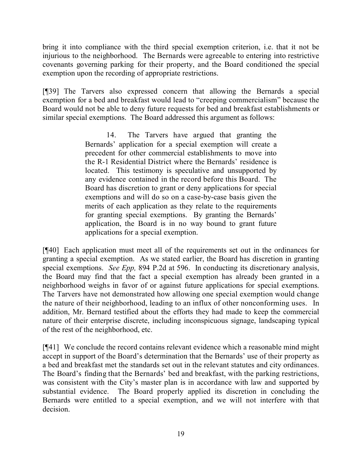bring it into compliance with the third special exemption criterion, i.e. that it not be injurious to the neighborhood. The Bernards were agreeable to entering into restrictive covenants governing parking for their property, and the Board conditioned the special exemption upon the recording of appropriate restrictions.

[¶39] The Tarvers also expressed concern that allowing the Bernards a special exemption for a bed and breakfast would lead to "creeping commercialism" because the Board would not be able to deny future requests for bed and breakfast establishments or similar special exemptions. The Board addressed this argument as follows:

> 14. The Tarvers have argued that granting the Bernards' application for a special exemption will create a precedent for other commercial establishments to move into the R-1 Residential District where the Bernards' residence is located. This testimony is speculative and unsupported by any evidence contained in the record before this Board. The Board has discretion to grant or deny applications for special exemptions and will do so on a case-by-case basis given the merits of each application as they relate to the requirements for granting special exemptions. By granting the Bernards' application, the Board is in no way bound to grant future applications for a special exemption.

[¶40] Each application must meet all of the requirements set out in the ordinances for granting a special exemption. As we stated earlier, the Board has discretion in granting special exemptions. *See Epp,* 894 P.2d at 596. In conducting its discretionary analysis, the Board may find that the fact a special exemption has already been granted in a neighborhood weighs in favor of or against future applications for special exemptions. The Tarvers have not demonstrated how allowing one special exemption would change the nature of their neighborhood, leading to an influx of other nonconforming uses. In addition, Mr. Bernard testified about the efforts they had made to keep the commercial nature of their enterprise discrete, including inconspicuous signage, landscaping typical of the rest of the neighborhood, etc.

[¶41] We conclude the record contains relevant evidence which a reasonable mind might accept in support of the Board's determination that the Bernards' use of their property as a bed and breakfast met the standards set out in the relevant statutes and city ordinances. The Board's finding that the Bernards' bed and breakfast, with the parking restrictions, was consistent with the City's master plan is in accordance with law and supported by substantial evidence. The Board properly applied its discretion in concluding the Bernards were entitled to a special exemption, and we will not interfere with that decision.